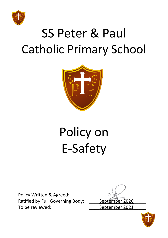

## SS Peter & Paul Catholic Primary School



# Policy on E-Safety

Policy Written & Agreed: Ratified by Full Governing Body: September 2020 To be reviewed: To be reviewed:

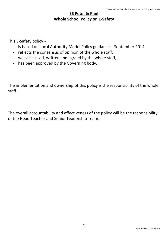### **SS Peter & Paul Whole School Policy on E-Safety**

This E-Safety policy:-

- is based on Local Authority Model Policy guidance September 2014
- reflects the consensus of opinion of the whole staff;
- was discussed, written and agreed by the whole staff;
- has been approved by the Governing body.

The implementation and ownership of this policy is the responsibility of the whole staff.

The overall accountability and effectiveness of the policy will be the responsibility of the Head Teacher and Senior Leadership Team.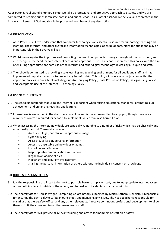At SS Peter & Paul Catholic Primary School we take a professional and pro-active approach to E-Safety and we are committed to keeping our children safe both in and out of School. As a Catholic school, we believe all are created in the image and likeness of God and should be protected from harm of any description.

#### **1.0 INTRODUCTION**

- 1.1 At SS Peter & Paul, we understand that computer technology is an essential resource for supporting teaching and learning. The internet, and other digital and information technologies, open up opportunities for pupils and play an important role in their everyday lives.
- 1.2 Whilst we recognise the importance of promoting the use of computer technology throughout the curriculum, we also recognise the need for safe internet access and appropriate use. Our school has created this policy with the aim of ensuring appropriate and safe use of the internet and other digital technology devices by all pupils and staff.
- 1.3 The school is committed to providing a safe learning and teaching environment for all pupils and staff, and has implemented important controls to prevent any harmful risks. This policy will operate in conjunction with other important policies in our school, including our 'Anti-bullying Policy', 'Data Protection Policy', 'Safeguarding Policy' and 'Acceptable Use of the Internet & Technology Policy'.

#### **2.0 USE OF THE INTERNET**

- 2.1 The school understands that using the internet is important when raising educational standards, promoting pupil achievement and enhancing teaching and learning.
- 2.2 Internet use is embedded in the statutory curriculum and is therefore entitled to all pupils, though there are a number of controls required for schools to implement, which minimise harmful risks.
- 2.3 When accessing the internet, individuals are especially vulnerable to a number of risks which may be physically and emotionally harmful. These risks include:
	- Access to illegal, harmful or inappropriate images
	- Cyber bullying
	- Access to, or loss of, personal information
	- Access to unsuitable online videos or games
	- Loss of personal images
	- Inappropriate communication with others
	- Illegal downloading of files
	- Plagiarism and copyright infringement
	- Sharing the personal information of others without the individual's consent or knowledge

#### **3.0 ROLES & RESPONSIBILITIES**

- 3.1 It is the responsibility of all staff to be alert to possible harm to pupils or staff, due to inappropriate internet access or use both inside and outside of the school, and to deal with incidents of such as a priority.
- 3.2 The e-safety officer, Teresa Wright (Computing Co-ordinator), supported by Martin Latham (Link2ict), is responsible for ensuring the day-to-day e-safety in our school, and managing any issues. The head teacher is responsible for ensuring that the e-safety officer and any other relevant staff receive continuous professional development to allow them to fulfil their role and train other members of staff.
- 3.3 The e-safety officer will provide all relevant training and advice for members of staff on e-safety.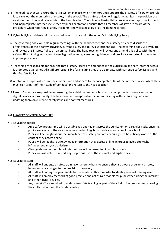- 3.4 The head teacher will ensure there is a system in place which monitors and supports the e-safety officer, whose role is to carry out the monitoring of e-safety in the school. The e-safety officer will regularly monitor the provision of esafety in the school and return this to the head teacher. The school will establish a procedure for reporting incidents and inappropriate internet use, either by pupils or staff and ensure that all members of staff are aware of the procedure when reporting e-safety incidents, and will keep a log of all incidents recorded.
- 3.5 Cyber bullying incidents will be reported in accordance with the school's Anti-Bullying Policy.
- 3.6 The governing body will hold regular meetings with the head teacher and/or e-safety officer to discuss the effectiveness of the e-safety provision, current issues, and to review incident logs. The governing body will evaluate and review this E-safety Policy on an annual basis. The head teacher will review and amend this policy with the esafety officer, taking into account new legislation and government guidance, and previously reported incidents to improve procedures.
- 3.7 Teachers are responsible for ensuring that e-safety issues are embedded in the curriculum and safe internet access is promoted at all times. All staff are responsible for ensuring they are up-to-date with current e-safety issues, and this E-safety Policy.
- 3.8 All staff and pupils will ensure they understand and adhere to the 'Acceptable Use of the Internet Policy', which they must sign as part of their 'Code of Conduct' and return to the head teacher.
- 3.9 Parents/carers are responsible for ensuring their child understands how to use computer technology and other digital devices, appropriately. The head teacher is responsible for communicating with parents regularly and updating them on current e-safety issues and control measures.

#### **4.0 E-SAFETY CONTROL MEASURES**

- 4.1 Educating pupils:
	- An e-safety programme will be established and taught across the curriculum on a regular basis, ensuring pupils are aware of the safe use of new technology both inside and outside of the school.
	- Pupils will be taught about the importance of e-safety and are encouraged to be critically aware of the content they access online.
	- Pupils will be taught to acknowledge information they access online, in order to avoid copyright infringement and/or plagiarism.
	- Clear guidance on the rules of internet use will be presented in all classrooms.
	- Pupils are instructed to report any suspicious use of the internet and digital devices.
- 4.2 Educating staff:
	- All staff will undergo e-safety training on a termly basis to ensure they are aware of current e-safety issues and any changes to the provision of e-safety.
	- All staff will undergo regular audits by the e-safety officer in order to identify areas of training need.
	- All staff will employ methods of good practice and act as role models for pupils when using the internet and other digital devices.
	- Any new staff are required to undergo e-safety training as part of their induction programme, ensuring they fully understand the E-safety Policy.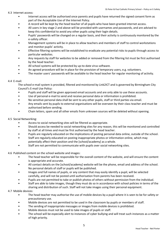4.3 Internet access:

- Internet access will be authorised once parents and pupils have returned the signed consent form as part of the Acceptable Use of the Internet Policy.
- A record will be kept by the head teacher of all pupils who have been granted internet access.
- All users in key stage 2 and above will be provided with usernames and passwords, and are advised to keep this confidential to avoid any other pupils using their login details.
- Pupils' passwords will be changed on a regular basis, and their activity is continuously monitored by the e-safety officer.
- Management systems will be in place to allow teachers and members of staff to control workstations and monitor pupils' activity.
- Effective filtering systems will be established to eradicate any potential risks to pupils through access to particular websites.
- Any requests by staff for websites to be added or removed from the filtering list must be first authorised by the head teacher.
- All school systems will be protected by up-to-date virus software.
- An agreed procedure will be in place for the provision of temporary users, e.g. volunteers.
- The master users' passwords will be available to the head teacher for regular monitoring of activity.

#### 4.4 E-mail:

The school e-mail system is provided, filtered and monitored by Link2ICT and is governed by Birmingham City Council's E-mail Use Policy:

- Pupils and staff will be given approved email accounts and are only able to use these accounts.
- Use of personal e-mail to send and receive personal data or information is prohibited.
- No sensitive personal data shall be sent to any other pupils, staff or third parties via email.
- Any emails sent by pupils to external organisations will be overseen by their class teacher and must be authorised before sending.
- Chain letters, spam and all other emails from unknown sources will be deleted without opening.

#### 4.5 Social Networking:

- Access to social networking sites will be filtered as appropriate.
- Should access be needed to social networking sites for any reason, this will be monitored and controlled by staff at all times and must be first authorised by the head teacher.
- Pupils are regularly educated on the implications of posting personal data online, outside of the school.
- Staff are regularly educated on posting inappropriate photos or information online, which may potentially affect their position and the [school/academy] as a whole.
- Staff are not permitted to communicate with pupils over social networking sites.

4.6 Published content on the school website and images:

- The head teacher will be responsible for the overall content of the website, and will ensure the content is appropriate and accurate.
- All contact details on the [school/academy] website will be the phone, email and address of the school. No personal details of staff or pupils will be published.
- Images and full names of pupils, or any content that may easily identify a pupil, will be selected carefully, and will not be posted until authorisation from parents has been received.
- Pupils are not permitted to take or publish photos of others without permission from the individual.
- Staff are able to take images, though they must do so in accordance with school policies in terms of the sharing and distribution of such. Staff will not take images using their personal equipment.

#### 4.7 Mobile devices:

- The head teacher may authorise the use of mobile devices by a pupil where it is seen to be for safety or precautionary use.
- Mobile devices are not permitted to be used in the classroom by pupils or members of staff.
- The sending of inappropriate messages or images from mobile devices is prohibited.
- Mobile devices must not be used to take images of pupils or staff.
- The school will be especially alert to instances of cyber bullying and will treat such instances as a matter of high priority.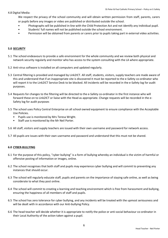#### 4.8 Digital Media:

We respect the privacy of the school community and will obtain written permission from staff, parents, carers or pupils before any images or video are published or distributed outside the school.

- Photographs will be published in-line with the Child Protection Act and not identify any individual pupil.
- Students' full names will not be published outside the school environment.
- Permission will be obtained from parents or carers prior to pupils taking part in external video activities.

#### **5.0 SECURITY**

- 5.1 The school endeavours to provide a safe environment for the whole community and we review both physical and network security regularly and monitor who has access to the system consulting with the LA where appropriate.
- 5.2 Anti-virus software is installed on all computers and updated regularly.
- 5.3 Central filtering is provided and managed by Link2ICT. All staff, students, visitors, supply teachers are made aware of this and understand that if an inappropriate site is discovered it must be reported to the e-Safety co-ordinator who will report it to the Link2ICT Service Desk to be blocked. All incidents will be recorded in the e-Safety log for audit purposes.
- 5.4 Requests for changes to the filtering will be directed to the e-Safety co-ordinator in the first instance who will forward these on to Link2ICT or liaise with the Head as appropriate. Change requests will be recorded in the e-Safety log for audit purposes
- 5.5 The school uses Policy Central Enterprise on all school owned equipment to ensure compliance with the Acceptable Use Policies.
	- Pupils use is monitored by Mrs Teresa Wright.
	- Staff use is monitored by the Mr Neil Porter.
- 5.6 All staff, visitors and supply teachers are issued with their own username and password for network access.
- 5.7 All pupils are issues with their own username and password and understand that this must not be shared.

#### **6.0 CYBER-BULLYING**

- 6.1 For the purpose of this policy, "cyber bullying" is a form of bullying whereby an individual is the victim of harmful or offensive posting of information or images, online.
- 6.2 The school recognises that both staff and pupils may experience cyber bullying and will commit to preventing any instances that should occur.
- 6.3 The school will regularly educate staff, pupils and parents on the importance of staying safe online, as well as being considerate to what they post online.
- 6.4 The school will commit to creating a learning and teaching environment which is free from harassment and bullying, ensuring the happiness of all members of staff and pupils.
- 6.5 The school has zero tolerance for cyber bullying, and any incidents will be treated with the upmost seriousness and will be dealt with in accordance with our Anti-bullying Policy.
- 6.6 The head teacher will decide whether it is appropriate to notify the police or anti-social behaviour co-ordinator in their Local Authority of the action taken against a pupil.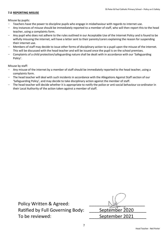#### **7.0 REPORTING MISUSE**

Misuse by pupils:

- Teachers have the power to discipline pupils who engage in misbehaviour with regards to internet use.
- Any instances of misuse should be immediately reported to a member of staff, who will then report this to the head teacher, using a complaints form.
- Any pupil who does not adhere to the rules outlined in our Acceptable Use of the Internet Policy and is found to be wilfully misusing the internet, will have a letter sent to their parents/carers explaining the reason for suspending their internet use.
- Members of staff may decide to issue other forms of disciplinary action to a pupil upon the misuse of the internet. This will be discussed with the head teacher and will be issued once the pupil is on the school premises.
- Complaints of a child protection/safeguarding nature shall be dealt with in accordance with our 'Safeguarding Policy'.

Misuse by staff:

- Any misuse of the internet by a member of staff should be immediately reported to the head teacher, using a complaints form.
- The head teacher will deal with such incidents in accordance with the Allegations Against Staff section of our 'Safeguarding Policy', and may decide to take disciplinary action against the member of staff.
- The head teacher will decide whether it is appropriate to notify the police or anti-social behaviour co-ordinator in their Local Authority of the action taken against a member of staff.

Policy Written & Agreed: Ratified by Full Governing Body: To be reviewed:

| September 2020 |
|----------------|
| September 2021 |